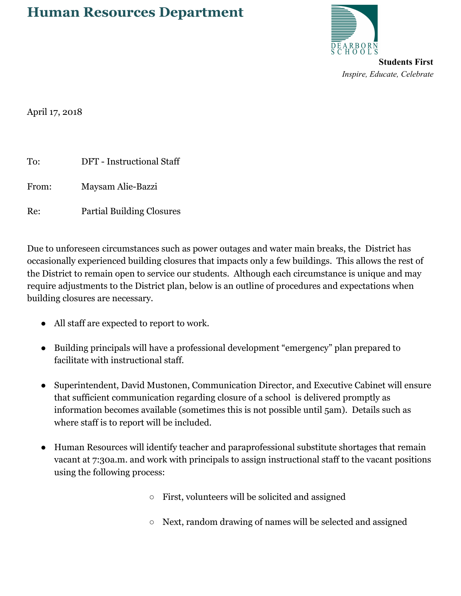## **Human Resources Department**



*Inspire, Educate, Celebrate*

April 17, 2018

| To:   | <b>DFT</b> - Instructional Staff |
|-------|----------------------------------|
| From: | Maysam Alie-Bazzi                |
| Re:   | <b>Partial Building Closures</b> |

Due to unforeseen circumstances such as power outages and water main breaks, the District has occasionally experienced building closures that impacts only a few buildings. This allows the rest of the District to remain open to service our students. Although each circumstance is unique and may require adjustments to the District plan, below is an outline of procedures and expectations when building closures are necessary.

- All staff are expected to report to work.
- Building principals will have a professional development "emergency" plan prepared to facilitate with instructional staff.
- Superintendent, David Mustonen, Communication Director, and Executive Cabinet will ensure that sufficient communication regarding closure of a school is delivered promptly as information becomes available (sometimes this is not possible until 5am). Details such as where staff is to report will be included.
- Human Resources will identify teacher and paraprofessional substitute shortages that remain vacant at 7:30a.m. and work with principals to assign instructional staff to the vacant positions using the following process:
	- First, volunteers will be solicited and assigned
	- Next, random drawing of names will be selected and assigned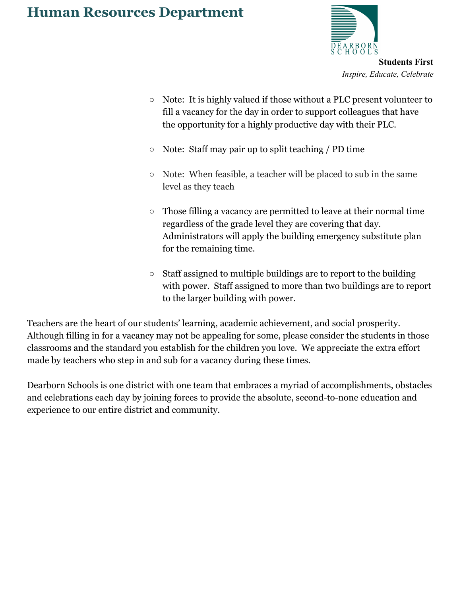## **Human Resources Department**



**Students First** *Inspire, Educate, Celebrate*

- Note: It is highly valued if those without a PLC present volunteer to fill a vacancy for the day in order to support colleagues that have the opportunity for a highly productive day with their PLC.
- Note: Staff may pair up to split teaching / PD time
- Note: When feasible, a teacher will be placed to sub in the same level as they teach
- Those filling a vacancy are permitted to leave at their normal time regardless of the grade level they are covering that day. Administrators will apply the building emergency substitute plan for the remaining time.
- $\circ$  Staff assigned to multiple buildings are to report to the building with power. Staff assigned to more than two buildings are to report to the larger building with power.

Teachers are the heart of our students' learning, academic achievement, and social prosperity. Although filling in for a vacancy may not be appealing for some, please consider the students in those classrooms and the standard you establish for the children you love. We appreciate the extra effort made by teachers who step in and sub for a vacancy during these times.

Dearborn Schools is one district with one team that embraces a myriad of accomplishments, obstacles and celebrations each day by joining forces to provide the absolute, second-to-none education and experience to our entire district and community.